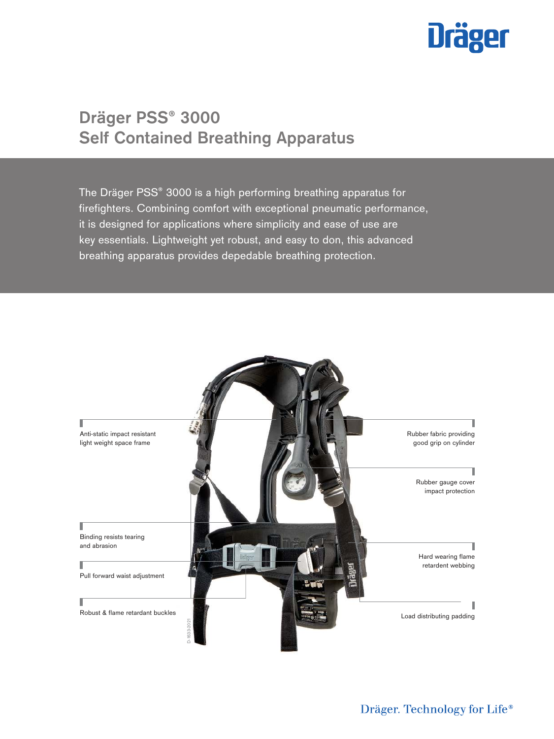# **Dräger**

# **Dräger PSS® 3000 Self Contained Breathing Apparatus**

The Dräger PSS® 3000 is a high performing breathing apparatus for firefighters. Combining comfort with exceptional pneumatic performance, it is designed for applications where simplicity and ease of use are key essentials. Lightweight yet robust, and easy to don, this advanced breathing apparatus provides depedable breathing protection.

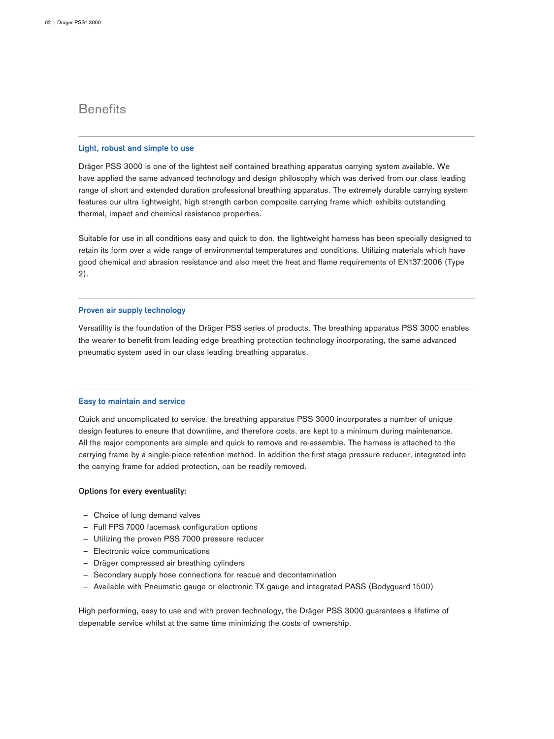## **Benefits**

#### **Light, robust and simple to use**

Dräger PSS 3000 is one of the lightest self contained breathing apparatus carrying system available. We have applied the same advanced technology and design philosophy which was derived from our class leading range of short and extended duration professional breathing apparatus. The extremely durable carrying system features our ultra lightweight, high strength carbon composite carrying frame which exhibits outstanding thermal, impact and chemical resistance properties.

Suitable for use in all conditions easy and quick to don, the lightweight harness has been specially designed to retain its form over a wide range of environmental temperatures and conditions. Utilizing materials which have good chemical and abrasion resistance and also meet the heat and flame requirements of EN137:2006 (Type 2).

#### **Proven air supply technology**

Versatility is the foundation of the Dräger PSS series of products. The breathing apparatus PSS 3000 enables the wearer to benefit from leading edge breathing protection technology incorporating, the same advanced pneumatic system used in our class leading breathing apparatus.

#### **Easy to maintain and service**

Quick and uncomplicated to service, the breathing apparatus PSS 3000 incorporates a number of unique design features to ensure that downtime, and therefore costs, are kept to a minimum during maintenance. All the major components are simple and quick to remove and re-assemble. The harness is attached to the carrying frame by a single-piece retention method. In addition the first stage pressure reducer, integrated into the carrying frame for added protection, can be readily removed.

#### **Options for every eventuality:**

- Choice of lung demand valves
- ‒ Full FPS 7000 facemask configuration options
- Utilizing the proven PSS 7000 pressure reducer
- Electronic voice communications
- ‒ Dräger compressed air breathing cylinders
- ‒ Secondary supply hose connections for rescue and decontamination
- ‒ Available with Pneumatic gauge or electronic TX gauge and integrated PASS (Bodyguard 1500)

High performing, easy to use and with proven technology, the Dräger PSS 3000 guarantees a lifetime of depenable service whilst at the same time minimizing the costs of ownership.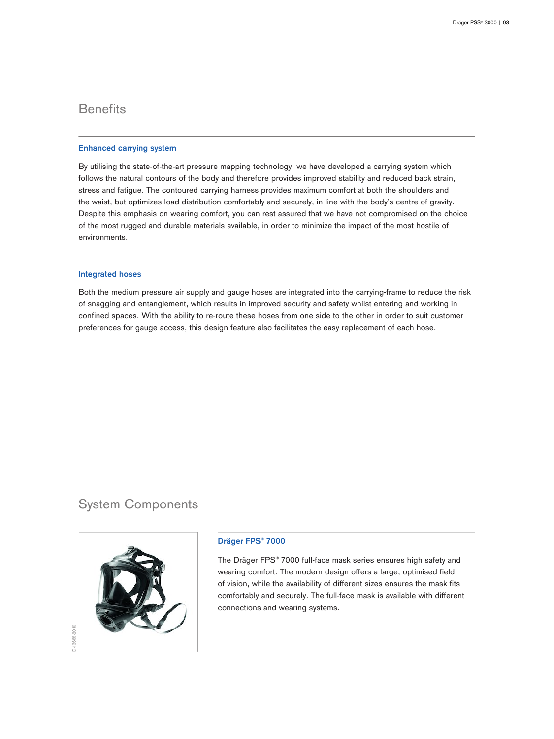# **Benefits**

#### **Enhanced carrying system**

By utilising the state-of-the-art pressure mapping technology, we have developed a carrying system which follows the natural contours of the body and therefore provides improved stability and reduced back strain, stress and fatigue. The contoured carrying harness provides maximum comfort at both the shoulders and the waist, but optimizes load distribution comfortably and securely, in line with the body's centre of gravity. Despite this emphasis on wearing comfort, you can rest assured that we have not compromised on the choice of the most rugged and durable materials available, in order to minimize the impact of the most hostile of environments.

#### **Integrated hoses**

Both the medium pressure air supply and gauge hoses are integrated into the carrying-frame to reduce the risk of snagging and entanglement, which results in improved security and safety whilst entering and working in confined spaces. With the ability to re-route these hoses from one side to the other in order to suit customer preferences for gauge access, this design feature also facilitates the easy replacement of each hose.

## System Components



#### **Dräger FPS® 7000**

The Dräger FPS® 7000 full-face mask series ensures high safety and wearing comfort. The modern design offers a large, optimised field of vision, while the availability of different sizes ensures the mask fits comfortably and securely. The full-face mask is available with different connections and wearing systems.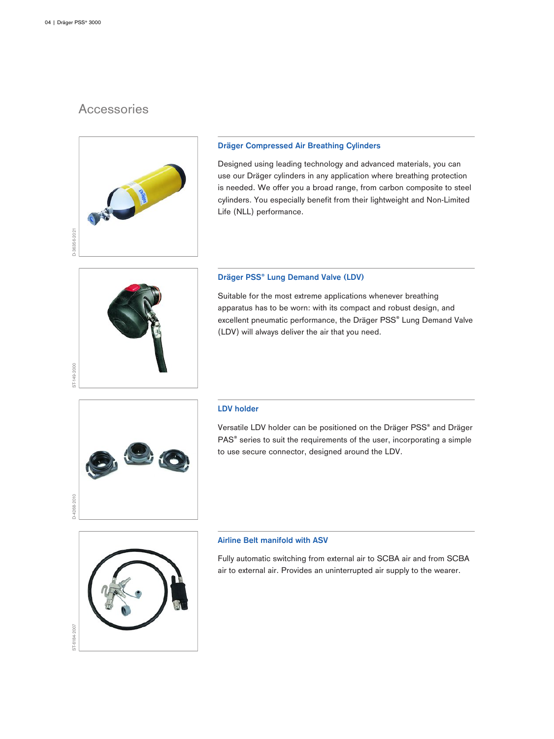ST-149-2000

# **Accessories**



#### **Dräger Compressed Air Breathing Cylinders**

Designed using leading technology and advanced materials, you can use our Dräger cylinders in any application where breathing protection is needed. We offer you a broad range, from carbon composite to steel cylinders. You especially benefit from their lightweight and Non-Limited Life (NLL) performance.

#### **Dräger PSS® Lung Demand Valve (LDV)**

Suitable for the most extreme applications whenever breathing apparatus has to be worn: with its compact and robust design, and excellent pneumatic performance, the Dräger PSS® Lung Demand Valve (LDV) will always deliver the air that you need.



#### **LDV holder**

Versatile LDV holder can be positioned on the Dräger PSS® and Dräger PAS<sup>®</sup> series to suit the requirements of the user, incorporating a simple to use secure connector, designed around the LDV.



#### **Airline Belt manifold with ASV**

Fully automatic switching from external air to SCBA air and from SCBA air to external air. Provides an uninterrupted air supply to the wearer.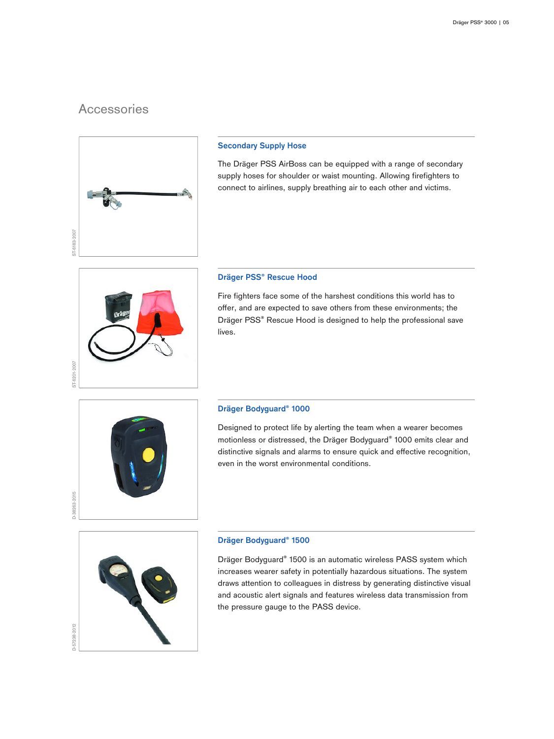## **Accessories**



#### **Secondary Supply Hose**

The Dräger PSS AirBoss can be equipped with a range of secondary supply hoses for shoulder or waist mounting. Allowing firefighters to connect to airlines, supply breathing air to each other and victims.

#### **Dräger PSS® Rescue Hood**

Fire fighters face some of the harshest conditions this world has to offer, and are expected to save others from these environments; the Dräger PSS® Rescue Hood is designed to help the professional save lives.



#### **Dräger Bodyguard® 1000**

Designed to protect life by alerting the team when a wearer becomes motionless or distressed, the Dräger Bodyguard® 1000 emits clear and distinctive signals and alarms to ensure quick and effective recognition, even in the worst environmental conditions.



#### **Dräger Bodyguard® 1500**

Dräger Bodyguard® 1500 is an automatic wireless PASS system which increases wearer safety in potentially hazardous situations. The system draws attention to colleagues in distress by generating distinctive visual and acoustic alert signals and features wireless data transmission from the pressure gauge to the PASS device.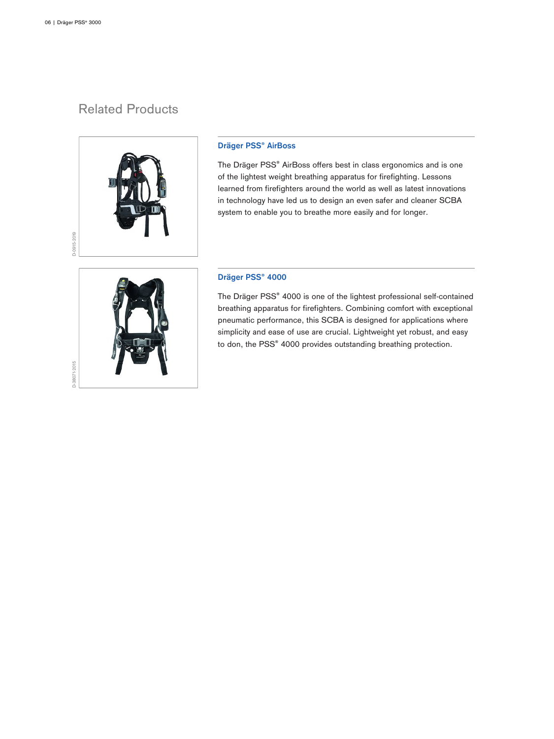# Related Products



#### **Dräger PSS® AirBoss**

The Dräger PSS® AirBoss offers best in class ergonomics and is one of the lightest weight breathing apparatus for firefighting. Lessons learned from firefighters around the world as well as latest innovations in technology have led us to design an even safer and cleaner SCBA system to enable you to breathe more easily and for longer.

#### **Dräger PSS® 4000**

The Dräger PSS® 4000 is one of the lightest professional self-contained breathing apparatus for firefighters. Combining comfort with exceptional pneumatic performance, this SCBA is designed for applications where simplicity and ease of use are crucial. Lightweight yet robust, and easy to don, the PSS® 4000 provides outstanding breathing protection.

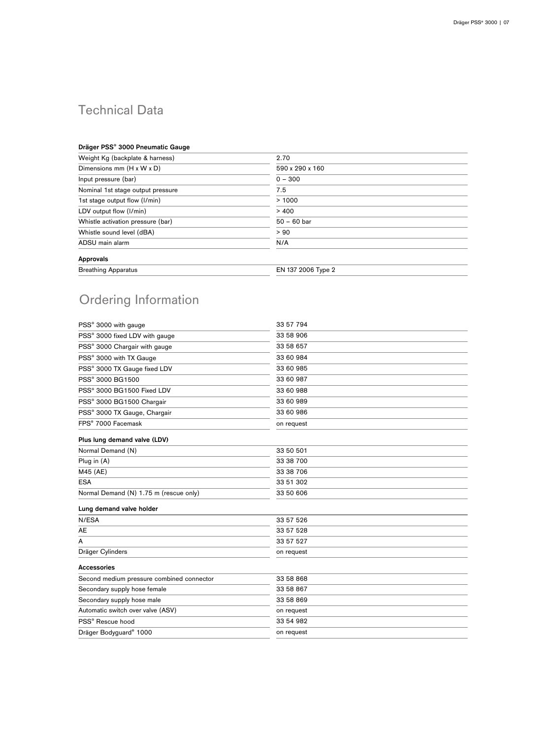# Technical Data

#### **Dräger PSS® 3000 Pneumatic Gauge**

| Weight Kg (backplate & harness)       | 2.70               |  |
|---------------------------------------|--------------------|--|
| Dimensions mm $(H \times W \times D)$ | 590 x 290 x 160    |  |
| Input pressure (bar)                  | $0 - 300$          |  |
| Nominal 1st stage output pressure     | 7.5                |  |
| 1st stage output flow (I/min)         | >1000              |  |
| LDV output flow (I/min)               | > 400              |  |
| Whistle activation pressure (bar)     | $50 - 60$ bar      |  |
| Whistle sound level (dBA)             | > 90               |  |
| ADSU main alarm                       | N/A                |  |
| Approvals                             |                    |  |
| <b>Breathing Apparatus</b>            | EN 137 2006 Type 2 |  |
|                                       |                    |  |

# Ordering Information

| 33 57 794  |
|------------|
| 33 58 906  |
| 33 58 657  |
| 33 60 984  |
| 33 60 985  |
| 33 60 987  |
| 33 60 988  |
| 33 60 989  |
| 33 60 986  |
| on request |
|            |
| 33 50 501  |
| 33 38 700  |
| 33 38 706  |
| 33 51 302  |
| 33 50 606  |
|            |
| 33 57 526  |
| 33 57 528  |
| 33 57 527  |
| on request |
|            |
| 33 58 868  |
| 33 58 867  |
| 33 58 869  |
| on request |
| 33 54 982  |
| on request |
|            |